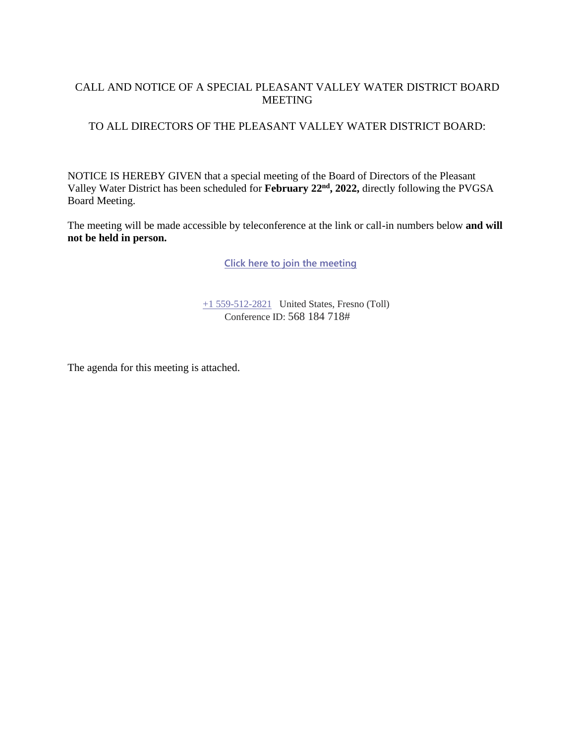## CALL AND NOTICE OF A SPECIAL PLEASANT VALLEY WATER DISTRICT BOARD MEETING

## TO ALL DIRECTORS OF THE PLEASANT VALLEY WATER DISTRICT BOARD:

NOTICE IS HEREBY GIVEN that a special meeting of the Board of Directors of the Pleasant Valley Water District has been scheduled for **February 22nd, 2022,** directly following the PVGSA Board Meeting.

The meeting will be made accessible by teleconference at the link or call-in numbers below **and will not be held in person.**

**[Click here to join the meeting](https://teams.microsoft.com/l/meetup-join/19%3ameeting_YjQ1Y2QxOWMtYWNiMi00NWUzLTliYmEtYTRjMDVlMDQyNTRk%40thread.v2/0?context=%7b%22Tid%22%3a%22a6cf659f-2360-4ff9-9e8d-045f48434ada%22%2c%22Oid%22%3a%22d7c07c21-aea1-4965-a48d-46a35d2818b4%22%7d)**

[+1 559-512-2821](tel:+15595122821,,85232084# ) United States, Fresno (Toll) Conference ID: 568 184 718#

The agenda for this meeting is attached.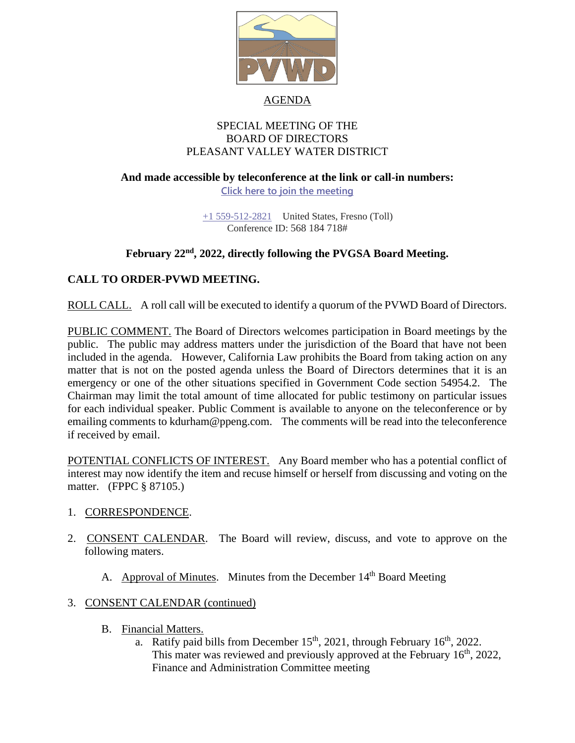

#### AGENDA

### SPECIAL MEETING OF THE BOARD OF DIRECTORS PLEASANT VALLEY WATER DISTRICT

## **And made accessible by teleconference at the link or call-in numbers: [Click here to join the meeting](https://teams.microsoft.com/l/meetup-join/19%3ameeting_YjQ1Y2QxOWMtYWNiMi00NWUzLTliYmEtYTRjMDVlMDQyNTRk%40thread.v2/0?context=%7b%22Tid%22%3a%22a6cf659f-2360-4ff9-9e8d-045f48434ada%22%2c%22Oid%22%3a%22d7c07c21-aea1-4965-a48d-46a35d2818b4%22%7d)**

[+1 559-512-2821](tel:+15595122821,,85232084# ) United States, Fresno (Toll) Conference ID: 568 184 718#

## **February 22nd , 2022, directly following the PVGSA Board Meeting.**

## **CALL TO ORDER-PVWD MEETING.**

ROLL CALL. A roll call will be executed to identify a quorum of the PVWD Board of Directors.

PUBLIC COMMENT. The Board of Directors welcomes participation in Board meetings by the public. The public may address matters under the jurisdiction of the Board that have not been included in the agenda. However, California Law prohibits the Board from taking action on any matter that is not on the posted agenda unless the Board of Directors determines that it is an emergency or one of the other situations specified in Government Code section 54954.2. The Chairman may limit the total amount of time allocated for public testimony on particular issues for each individual speaker. Public Comment is available to anyone on the teleconference or by emailing comments to kdurham@ppeng.com. The comments will be read into the teleconference if received by email.

POTENTIAL CONFLICTS OF INTEREST. Any Board member who has a potential conflict of interest may now identify the item and recuse himself or herself from discussing and voting on the matter. (FPPC § 87105.)

#### 1. CORRESPONDENCE.

- 2. CONSENT CALENDAR. The Board will review, discuss, and vote to approve on the following maters.
	- A. Approval of Minutes. Minutes from the December 14<sup>th</sup> Board Meeting

## 3. CONSENT CALENDAR (continued)

- B. Financial Matters.
	- a. Ratify paid bills from December  $15<sup>th</sup>$ , 2021, through February  $16<sup>th</sup>$ , 2022. This mater was reviewed and previously approved at the February 16<sup>th</sup>, 2022, Finance and Administration Committee meeting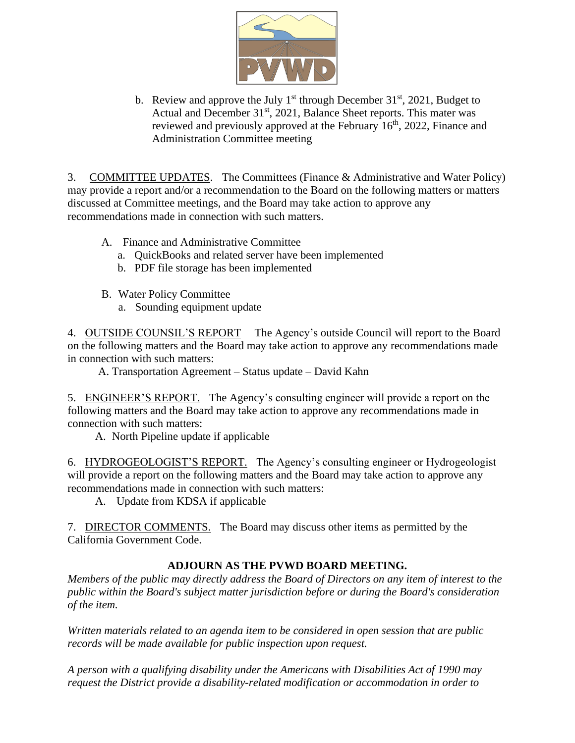

b. Review and approve the July  $1<sup>st</sup>$  through December 31 $<sup>st</sup>$ , 2021, Budget to</sup> Actual and December 31<sup>st</sup>, 2021, Balance Sheet reports. This mater was reviewed and previously approved at the February  $16<sup>th</sup>$ , 2022, Finance and Administration Committee meeting

3. COMMITTEE UPDATES. The Committees (Finance & Administrative and Water Policy) may provide a report and/or a recommendation to the Board on the following matters or matters discussed at Committee meetings, and the Board may take action to approve any recommendations made in connection with such matters.

- A. Finance and Administrative Committee
	- a. QuickBooks and related server have been implemented
	- b. PDF file storage has been implemented
- B. Water Policy Committee
	- a. Sounding equipment update

4. OUTSIDE COUNSIL'S REPORT The Agency's outside Council will report to the Board on the following matters and the Board may take action to approve any recommendations made in connection with such matters:

A. Transportation Agreement – Status update – David Kahn

5. ENGINEER'S REPORT. The Agency's consulting engineer will provide a report on the following matters and the Board may take action to approve any recommendations made in connection with such matters:

A. North Pipeline update if applicable

6. HYDROGEOLOGIST'S REPORT. The Agency's consulting engineer or Hydrogeologist will provide a report on the following matters and the Board may take action to approve any recommendations made in connection with such matters:

A. Update from KDSA if applicable

7. DIRECTOR COMMENTS. The Board may discuss other items as permitted by the California Government Code.

# **ADJOURN AS THE PVWD BOARD MEETING.**

*Members of the public may directly address the Board of Directors on any item of interest to the public within the Board's subject matter jurisdiction before or during the Board's consideration of the item.*

*Written materials related to an agenda item to be considered in open session that are public records will be made available for public inspection upon request.*

*A person with a qualifying disability under the Americans with Disabilities Act of 1990 may request the District provide a disability-related modification or accommodation in order to*